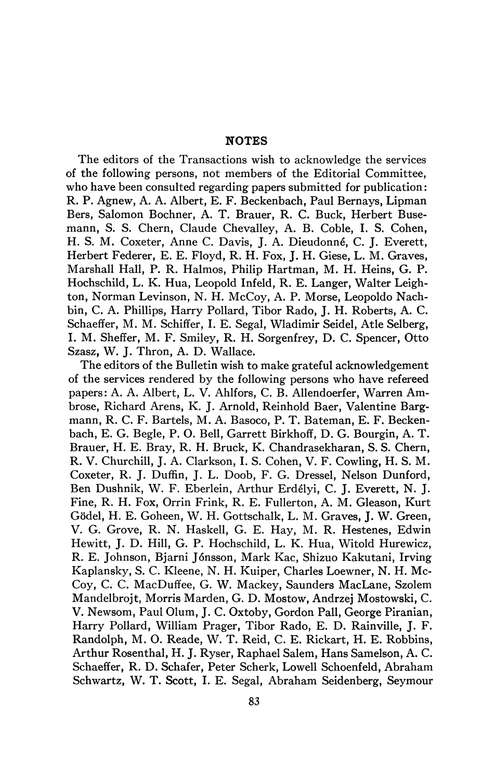## **NOTES**

The editors of the Transactions wish to acknowledge the services of the following persons, not members of the Editorial Committee, who have been consulted regarding papers submitted for publication: R. P. Agnew, A. A. Albert, E. F. Beckenbach, Paul Bernays, Lipman Bers, Salomon Bochner, A. T. Brauer, R. C. Buck, Herbert Busemann, S. S. Chern, Claude Chevalley, A. B. Coble, I. S. Cohen, H. S. M. Coxeter, Anne C. Davis, J. A. Dieudonné, C. J. Everett, Herbert Fédérer, E. E. Floyd, R. H. Fox, J. H. Giese, L. M. Graves, Marshall Hall, P. R. Halmos, Philip Hartman, M. H. Heins, G. P. Hochschild, L. K. Hua, Leopold Infeld, R. E. Langer, Walter Leighton, Norman Levinson, N. H. McCoy, A. P. Morse, Leopoldo Nachbin, C. A. Phillips, Harry Pollard, Tibor Rado, J. H. Roberts, A. C. Schaeffer, M. M. Schiffer, L E. Segal, Wladimir Seidel, Atle Selberg, I. M. Sheffer, M. F. Smiley, R. H. Sorgenfrey, D. C. Spencer, Otto Szasz, W. J. Thron, A. D. Wallace.

The editors of the Bulletin wish to make grateful acknowledgement of the services rendered by the following persons who have refereed papers: A. A. Albert, L. V. Ahlfors, C. B. Allendoerfer, Warren Ambrose, Richard Arens, K. J. Arnold, Reinhold Baer, Valentine Bargmann, R. C. F. Bartels, M. A. Basoco, P. T. Bateman, E. F. Beckenbach, E. G. Begle, P. O. Bell, Garrett Birkhoff, D. G. Bourgin, A. T. Brauer, H. E. Bray, R. H. Bruck, K. Chandrasekharan, S. S. Chern, R. V. Churchill, J. A. Clarkson, I. S. Cohen, V. F. Cowling, H. S. M. Coxeter, R. J. Duffin, J. L. Doob, F. G. Dressel, Nelson Dunford, Ben Dushnik, W. F. Eberlein, Arthur Erdélyi, C. J. Everett, N. J. Fine, R. H. Fox, Orrin Frink, R. E. Fullerton, A. M. Gleason, Kurt Gödel, H. E. Goheen, W. H. Gottschalk, L. M. Graves, J. W. Green, V. G. Grove, R. N. Haskell, G. E. Hay, M. R. Hestenes, Edwin Hewitt, J. D. Hill, G. P. Hochschild, L. K. Hua, Witold Hurewicz, R. E. Johnson, Bjarni Jónsson, Mark Kac, Shizuo Kakutani, Irving Kaplansky, S. C. Kleene, N. H. Kuiper, Charles Loewner, N. H. Mc-Coy, C. C. MacDuffee, G. W. Mackey, Saunders MacLane, Szolem Mandelbrojt, Morris Marden, G. D. Mostow, Andrzej Mostowski, C. V. Newsom, Paul Olum, J. C. Oxtoby, Gordon Pali, George Piranian, Harry Pollard, William Prager, Tibor Rado, E. D. Rainville, J. F. Randolph, M. O. Reade, W. T. Reid, C. E. Rickart, H. E. Robbins, Arthur Rosenthal, H. J. Ryser, Raphael Salem, Hans Samelson, A. C. Schaeffer, R. D. Schafer, Peter Scherk, Lowell Schoenfeld, Abraham Schwartz, W. T. Scott, I. E. Segal, Abraham Seidenberg, Seymour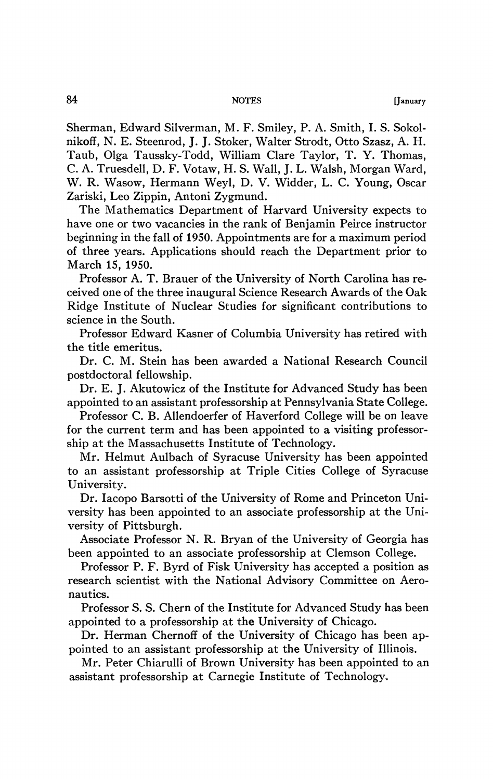Sherman, Edward Silverman, M. F. Smiley, P. A. Smith, I. S. Sokolnikoff, N. E. Steenrod, J. J. Stoker, Walter Strodt, Otto Szasz, A. H. Taub, Olga Taussky-Todd, William Clare Taylor, T. Y. Thomas, C. A. Truesdell, D. F. Votaw, H. S. Wall, J. L. Walsh, Morgan Ward, W. R. Wasow, Hermann Weyl, D. V. Widder, L. C. Young, Oscar Zariski, Leo Zippin, Antoni Zygmund.

The Mathematics Department of Harvard University expects to have one or two vacancies in the rank of Benjamin Peirce instructor beginning in the fall of 1950. Appointments are for a maximum period of three years. Applications should reach the Department prior to March 15, 1950.

Professor A. T. Brauer of the University of North Carolina has received one of the three inaugural Science Research Awards of the Oak Ridge Institute of Nuclear Studies for significant contributions to science in the South.

Professor Edward Kasner of Columbia University has retired with the title emeritus.

Dr. C. M. Stein has been awarded a National Research Council postdoctoral fellowship.

Dr. E. J. Akutowicz of the Institute for Advanced Study has been appointed to an assistant professorship at Pennsylvania State College.

Professor C. B. Allendoerfer of Haverford College will be on leave for the current term and has been appointed to a visiting professorship at the Massachusetts Institute of Technology.

Mr. Helmut Aulbach of Syracuse University has been appointed to an assistant professorship at Triple Cities College of Syracuse University.

Dr. Iacopo Barsotti of the University of Rome and Princeton University has been appointed to an associate professorship at the University of Pittsburgh.

Associate Professor N. R. Bryan of the University of Georgia has been appointed to an associate professorship at Clemson College.

Professor P. F. Byrd of Fisk University has accepted a position as research scientist with the National Advisory Committee on Aeronautics.

Professor S. S. Chern of the Institute for Advanced Study has been appointed to a professorship at the University of Chicago.

Dr. Herman Chernoff of the University of Chicago has been appointed to an assistant professorship at the University of Illinois.

Mr. Peter Chiarulli of Brown University has been appointed to an assistant professorship at Carnegie Institute of Technology,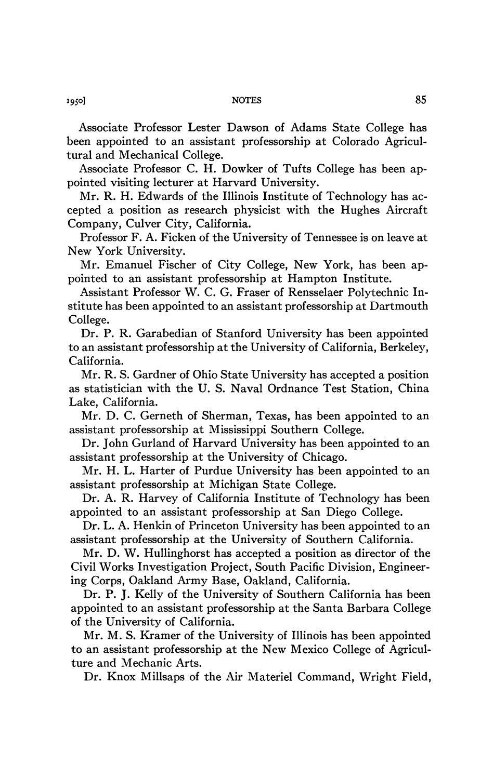Associate Professor Lester Dawson of Adams State College has been appointed to an assistant professorship at Colorado Agricultural and Mechanical College.

Associate Professor C. H. Dowker of Tufts College has been appointed visiting lecturer at Harvard University.

Mr. R. H. Edwards of the Illinois Institute of Technology has accepted a position as research physicist with the Hughes Aircraft Company, Culver City, California.

Professor F. A. Ficken of the University of Tennessee is on leave at New York University.

Mr. Emanuel Fischer of City College, New York, has been appointed to an assistant professorship at Hampton Institute.

Assistant Professor W. C. G. Fraser of Rensselaer Polytechnic Institute has been appointed to an assistant professorship at Dartmouth College.

Dr. P. R. Garabedian of Stanford University has been appointed to an assistant professorship at the University of California, Berkeley, California.

Mr. R. S. Gardner of Ohio State University has accepted a position as statistician with the U. S. Naval Ordnance Test Station, China Lake, California.

Mr. D. C. Gerneth of Sherman, Texas, has been appointed to an assistant professorship at Mississippi Southern College.

Dr. John Gurland of Harvard University has been appointed to an assistant professorship at the University of Chicago.

Mr. H. L. Harter of Purdue University has been appointed to an assistant professorship at Michigan State College.

Dr. A. R. Harvey of California Institute of Technology has been appointed to an assistant professorship at San Diego College.

Dr. L. A. Henkin of Princeton University has been appointed to an assistant professorship at the University of Southern California.

Mr. D. W. Hullinghorst has accepted a position as director of the Civil Works Investigation Project, South Pacific Division, Engineering Corps, Oakland Army Base, Oakland, California.

Dr. P. J. Kelly of the University of Southern California has been appointed to an assistant professorship at the Santa Barbara College of the University of California.

Mr. M. S. Kramer of the University of Illinois has been appointed to an assistant professorship at the New Mexico College of Agriculture and Mechanic Arts.

Dr. Knox Millsaps of the Air Materiel Command, Wright Field,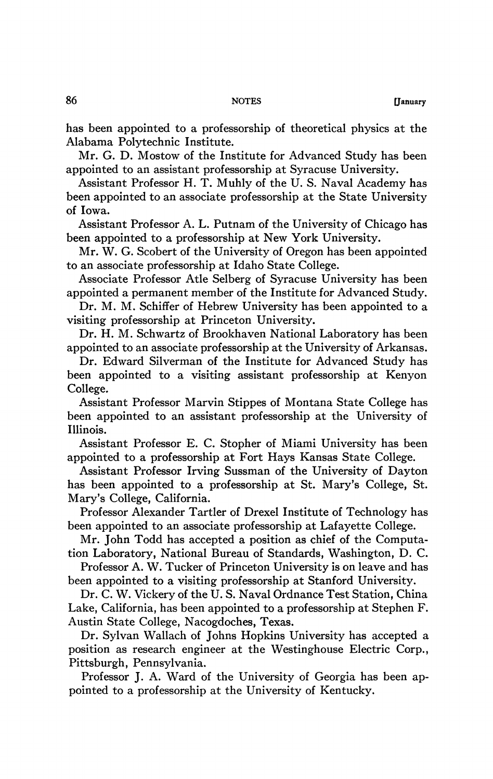has been appointed to a professorship of theoretical physics at the Alabama Polytechnic Institute.

Mr. G. D. Mostow of the Institute for Advanced Study has been appointed to an assistant professorship at Syracuse University.

Assistant Professor H. T. Muhly of the U. S. Naval Academy has been appointed to an associate professorship at the State University of Iowa.

Assistant Professor A. L. Putnam of the University of Chicago has been appointed to a professorship at New York University.

Mr. W. G. Scobert of the University of Oregon has been appointed to an associate professorship at Idaho State College.

Associate Professor Atle Selberg of Syracuse University has been appointed a permanent member of the Institute for Advanced Study.

Dr. M. M. Schiffer of Hebrew University has been appointed to a visiting professorship at Princeton University.

Dr. H. M. Schwartz of Brookhaven National Laboratory has been appointed to an associate professorship at the University of Arkansas.

Dr. Edward Silverman of the Institute for Advanced Study has been appointed to a visiting assistant professorship at Kenyon College.

Assistant Professor Marvin Stippes of Montana State College has been appointed to an assistant professorship at the University of Illinois.

Assistant Professor E. C. Stopher of Miami University has been appointed to a professorship at Fort Hays Kansas State College.

Assistant Professor Irving Sussman of the University of Dayton has been appointed to a professorship at St. Mary's College, St. Mary's College, California.

Professor Alexander Tartler of Drexel Institute of Technology has been appointed to an associate professorship at Lafayette College.

Mr. John Todd has accepted a position as chief of the Computation Laboratory, National Bureau of Standards, Washington, D. C.

Professor A. W. Tucker of Princeton University is on leave and has been appointed to a visiting professorship at Stanford University.

Dr. C. W. Vickery of the U. S. Naval Ordnance Test Station, China Lake, California, has been appointed to a professorship at Stephen F. Austin State College, Nacogdoches, Texas.

Dr. Sylvan Wallach of Johns Hopkins University has accepted a position as research engineer at the Westinghouse Electric Corp., Pittsburgh, Pennsylvania.

Professor J. A. Ward of the University of Georgia has been appointed to a professorship at the University of Kentucky.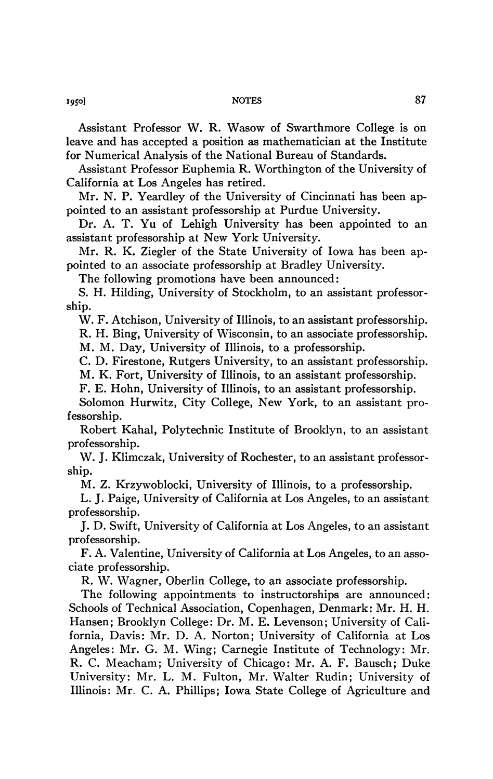Assistant Professor W. R. Wasow of Swarthmore College is on leave and has accepted a position as mathematician at the Institute for Numerical Analysis of the National Bureau of Standards.

Assistant Professor Euphemia R. Worthington of the University of California at Los Angeles has retired.

Mr. N. P. Yeardley of the University of Cincinnati has been appointed to an assistant professorship at Purdue University.

Dr. A. T. Yu of Lehigh University has been appointed to an assistant professorship at New York University.

Mr. R. K. Ziegler of the State University of Iowa has been appointed to an associate professorship at Bradley University.

The following promotions have been announced:

S. H. Hilding, University of Stockholm, to an assistant professorship.

W. F. Atchison, University of Illinois, to an assistant professorship. R. H. Bing, University of Wisconsin, to an associate professorship. M. M. Day, University of Illinois, to a professorship.

C. D. Firestone, Rutgers University, to an assistant professorship.

M. K. Fort, University of Illinois, to an assistant professorship.

F. E. Hohn, University of Illinois, to an assistant professorship.

Solomon Hurwitz, City College, New York, to an assistant professorship.

Robert Kahal, Polytechnic Institute of Brooklyn, to an assistant professorship.

W. J. Klimczak, University of Rochester, to an assistant professorship.

M. Z. Krzywoblocki, University of Illinois, to a professorship.

L. J. Paige, University of California at Los Angeles, to an assistant professorship.

J. D. Swift, University of California at Los Angeles, to an assistant professorship.

F. A. Valentine, University of California at Los Angeles, to an associate professorship.

R. W. Wagner, Oberlin College, to an associate professorship.

The following appointments to instructorships are announced: Schools of Technical Association, Copenhagen, Denmark: Mr. H. H. Hansen; Brooklyn College: Dr. M. E. Levenson; University of California, Davis: Mr. D. A. Norton; University of California at Los Angeles: Mr. G. M. Wing; Carnegie Institute of Technology: Mr. R. C. Meacham; University of Chicago: Mr. A. F. Bausch; Duke University: Mr. L. M. Fulton, Mr. Walter Rudin; University of Illinois: Mr. C. A. Phillips; Iowa State College of Agriculture and